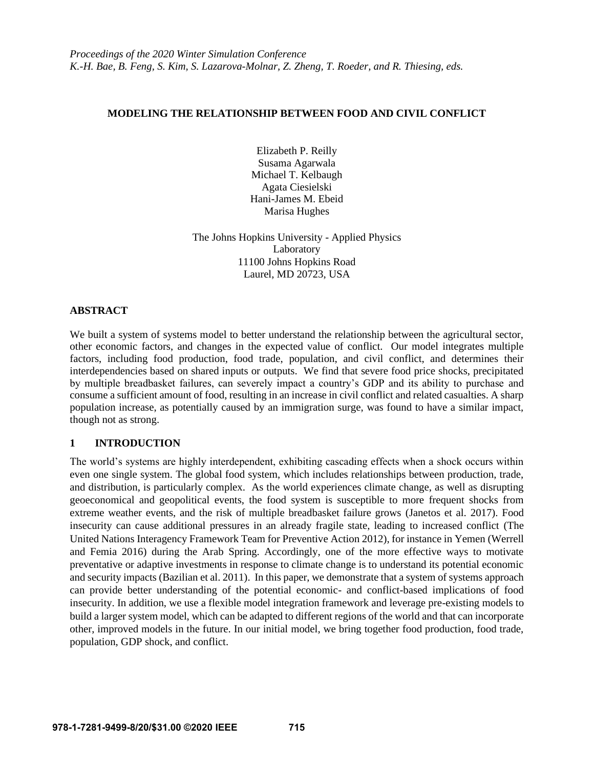# **MODELING THE RELATIONSHIP BETWEEN FOOD AND CIVIL CONFLICT**

Elizabeth P. Reilly Susama Agarwala Michael T. Kelbaugh Agata Ciesielski Hani-James M. Ebeid Marisa Hughes

The Johns Hopkins University - Applied Physics Laboratory 11100 Johns Hopkins Road Laurel, MD 20723, USA

# **ABSTRACT**

We built a system of systems model to better understand the relationship between the agricultural sector, other economic factors, and changes in the expected value of conflict. Our model integrates multiple factors, including food production, food trade, population, and civil conflict, and determines their interdependencies based on shared inputs or outputs. We find that severe food price shocks, precipitated by multiple breadbasket failures, can severely impact a country's GDP and its ability to purchase and consume a sufficient amount of food, resulting in an increase in civil conflict and related casualties. A sharp population increase, as potentially caused by an immigration surge, was found to have a similar impact, though not as strong.

# **1 INTRODUCTION**

The world's systems are highly interdependent, exhibiting cascading effects when a shock occurs within even one single system. The global food system, which includes relationships between production, trade, and distribution, is particularly complex. As the world experiences climate change, as well as disrupting geoeconomical and geopolitical events, the food system is susceptible to more frequent shocks from extreme weather events, and the risk of multiple breadbasket failure grows (Janetos et al. 2017). Food insecurity can cause additional pressures in an already fragile state, leading to increased conflict (The United Nations Interagency Framework Team for Preventive Action 2012), for instance in Yemen (Werrell and Femia 2016) during the Arab Spring. Accordingly, one of the more effective ways to motivate preventative or adaptive investments in response to climate change is to understand its potential economic and security impacts (Bazilian et al. 2011). In this paper, we demonstrate that a system of systems approach can provide better understanding of the potential economic- and conflict-based implications of food insecurity. In addition, we use a flexible model integration framework and leverage pre-existing models to build a larger system model, which can be adapted to different regions of the world and that can incorporate other, improved models in the future. In our initial model, we bring together food production, food trade, population, GDP shock, and conflict.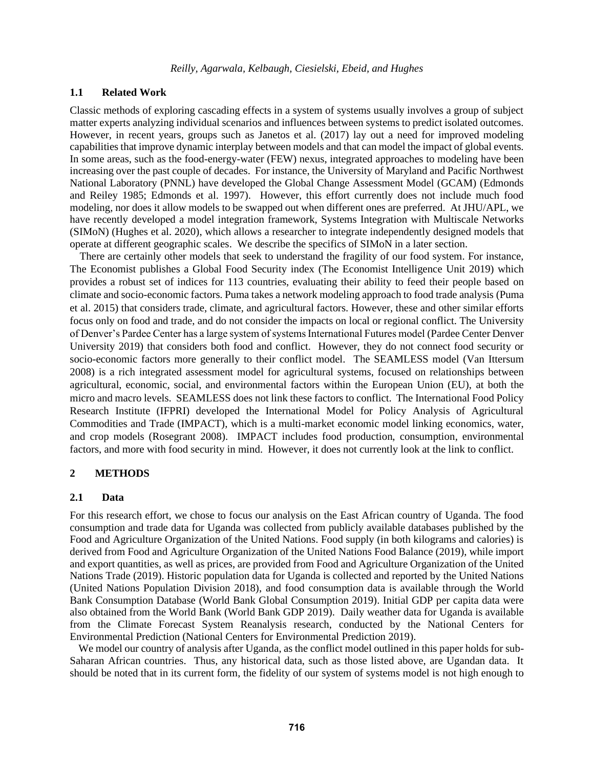# **1.1 Related Work**

Classic methods of exploring cascading effects in a system of systems usually involves a group of subject matter experts analyzing individual scenarios and influences between systems to predict isolated outcomes. However, in recent years, groups such as Janetos et al. (2017) lay out a need for improved modeling capabilities that improve dynamic interplay between models and that can model the impact of global events. In some areas, such as the food-energy-water (FEW) nexus, integrated approaches to modeling have been increasing over the past couple of decades. For instance, the University of Maryland and Pacific Northwest National Laboratory (PNNL) have developed the Global Change Assessment Model (GCAM) (Edmonds and Reiley 1985; Edmonds et al. 1997). However, this effort currently does not include much food modeling, nor does it allow models to be swapped out when different ones are preferred. At JHU/APL, we have recently developed a model integration framework, Systems Integration with Multiscale Networks (SIMoN) (Hughes et al. 2020), which allows a researcher to integrate independently designed models that operate at different geographic scales. We describe the specifics of SIMoN in a later section.

There are certainly other models that seek to understand the fragility of our food system. For instance, The Economist publishes a Global Food Security index (The Economist Intelligence Unit 2019) which provides a robust set of indices for 113 countries, evaluating their ability to feed their people based on climate and socio-economic factors. Puma takes a network modeling approach to food trade analysis (Puma et al. 2015) that considers trade, climate, and agricultural factors. However, these and other similar efforts focus only on food and trade, and do not consider the impacts on local or regional conflict. The University of Denver's Pardee Center has a large system of systems International Futures model (Pardee Center Denver University 2019) that considers both food and conflict. However, they do not connect food security or socio-economic factors more generally to their conflict model. The SEAMLESS model (Van Ittersum 2008) is a rich integrated assessment model for agricultural systems, focused on relationships between agricultural, economic, social, and environmental factors within the European Union (EU), at both the micro and macro levels. SEAMLESS does not link these factors to conflict. The International Food Policy Research Institute (IFPRI) developed the International Model for Policy Analysis of Agricultural Commodities and Trade (IMPACT), which is a multi-market economic model linking economics, water, and crop models (Rosegrant 2008). IMPACT includes food production, consumption, environmental factors, and more with food security in mind. However, it does not currently look at the link to conflict.

#### **2 METHODS**

#### **2.1 Data**

For this research effort, we chose to focus our analysis on the East African country of Uganda. The food consumption and trade data for Uganda was collected from publicly available databases published by the Food and Agriculture Organization of the United Nations. Food supply (in both kilograms and calories) is derived from Food and Agriculture Organization of the United Nations Food Balance (2019), while import and export quantities, as well as prices, are provided from Food and Agriculture Organization of the United Nations Trade (2019). Historic population data for Uganda is collected and reported by the United Nations (United Nations Population Division 2018), and food consumption data is available through the World Bank Consumption Database (World Bank Global Consumption 2019). Initial GDP per capita data were also obtained from the World Bank (World Bank GDP 2019). Daily weather data for Uganda is available from the Climate Forecast System Reanalysis research, conducted by the National Centers for Environmental Prediction (National Centers for Environmental Prediction 2019).

We model our country of analysis after Uganda, as the conflict model outlined in this paper holds for sub-Saharan African countries. Thus, any historical data, such as those listed above, are Ugandan data. It should be noted that in its current form, the fidelity of our system of systems model is not high enough to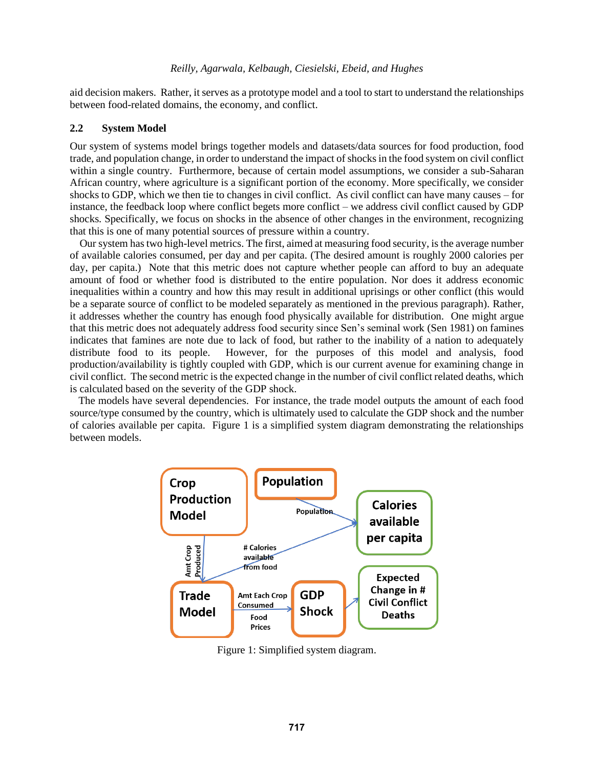aid decision makers. Rather, it serves as a prototype model and a tool to start to understand the relationships between food-related domains, the economy, and conflict.

# **2.2 System Model**

Our system of systems model brings together models and datasets/data sources for food production, food trade, and population change, in order to understand the impact of shocks in the food system on civil conflict within a single country. Furthermore, because of certain model assumptions, we consider a sub-Saharan African country, where agriculture is a significant portion of the economy. More specifically, we consider shocks to GDP, which we then tie to changes in civil conflict. As civil conflict can have many causes – for instance, the feedback loop where conflict begets more conflict – we address civil conflict caused by GDP shocks. Specifically, we focus on shocks in the absence of other changes in the environment, recognizing that this is one of many potential sources of pressure within a country.

Our system has two high-level metrics. The first, aimed at measuring food security, is the average number of available calories consumed, per day and per capita. (The desired amount is roughly 2000 calories per day, per capita.) Note that this metric does not capture whether people can afford to buy an adequate amount of food or whether food is distributed to the entire population. Nor does it address economic inequalities within a country and how this may result in additional uprisings or other conflict (this would be a separate source of conflict to be modeled separately as mentioned in the previous paragraph). Rather, it addresses whether the country has enough food physically available for distribution. One might argue that this metric does not adequately address food security since Sen's seminal work (Sen 1981) on famines indicates that famines are note due to lack of food, but rather to the inability of a nation to adequately distribute food to its people. However, for the purposes of this model and analysis, food production/availability is tightly coupled with GDP, which is our current avenue for examining change in civil conflict. The second metric is the expected change in the number of civil conflict related deaths, which is calculated based on the severity of the GDP shock.

The models have several dependencies. For instance, the trade model outputs the amount of each food source/type consumed by the country, which is ultimately used to calculate the GDP shock and the number of calories available per capita. [Figure 1](#page-2-0) is a simplified system diagram demonstrating the relationships between models.



<span id="page-2-0"></span>Figure 1: Simplified system diagram.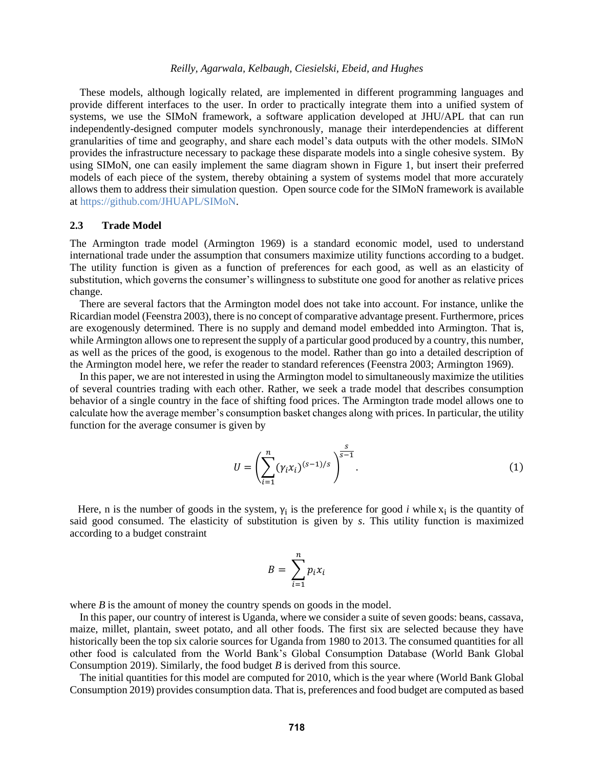These models, although logically related, are implemented in different programming languages and provide different interfaces to the user. In order to practically integrate them into a unified system of systems, we use the SIMoN framework, a software application developed at JHU/APL that can run independently-designed computer models synchronously, manage their interdependencies at different granularities of time and geography, and share each model's data outputs with the other models. SIMoN provides the infrastructure necessary to package these disparate models into a single cohesive system. By using SIMoN, one can easily implement the same diagram shown in [Figure 1,](#page-2-0) but insert their preferred models of each piece of the system, thereby obtaining a system of systems model that more accurately allows them to address their simulation question. Open source code for the SIMoN framework is available at [https://github.com/JHUAPL/SIMoN.](https://github.com/JHUAPL/SIMoN)

## **2.3 Trade Model**

The Armington trade model (Armington 1969) is a standard economic model, used to understand international trade under the assumption that consumers maximize utility functions according to a budget. The utility function is given as a function of preferences for each good, as well as an elasticity of substitution, which governs the consumer's willingness to substitute one good for another as relative prices change.

There are several factors that the Armington model does not take into account. For instance, unlike the Ricardian model (Feenstra 2003), there is no concept of comparative advantage present. Furthermore, prices are exogenously determined. There is no supply and demand model embedded into Armington. That is, while Armington allows one to represent the supply of a particular good produced by a country, this number, as well as the prices of the good, is exogenous to the model. Rather than go into a detailed description of the Armington model here, we refer the reader to standard references (Feenstra 2003; Armington 1969).

In this paper, we are not interested in using the Armington model to simultaneously maximize the utilities of several countries trading with each other. Rather, we seek a trade model that describes consumption behavior of a single country in the face of shifting food prices. The Armington trade model allows one to calculate how the average member's consumption basket changes along with prices. In particular, the utility function for the average consumer is given by

<span id="page-3-0"></span>
$$
U = \left(\sum_{i=1}^{n} (\gamma_i x_i)^{(s-1)/s}\right)^{\frac{s}{s-1}}.
$$
 (1)

Here, n is the number of goods in the system,  $\gamma_i$  is the preference for good *i* while  $x_i$  is the quantity of said good consumed. The elasticity of substitution is given by *s*. This utility function is maximized according to a budget constraint

$$
B = \sum_{i=1}^{n} p_i x_i
$$

where *B* is the amount of money the country spends on goods in the model.

In this paper, our country of interest is Uganda, where we consider a suite of seven goods: beans, cassava, maize, millet, plantain, sweet potato, and all other foods. The first six are selected because they have historically been the top six calorie sources for Uganda from 1980 to 2013. The consumed quantities for all other food is calculated from the World Bank's Global Consumption Database (World Bank Global Consumption 2019). Similarly, the food budget *B* is derived from this source.

The initial quantities for this model are computed for 2010, which is the year where (World Bank Global Consumption 2019) provides consumption data. That is, preferences and food budget are computed as based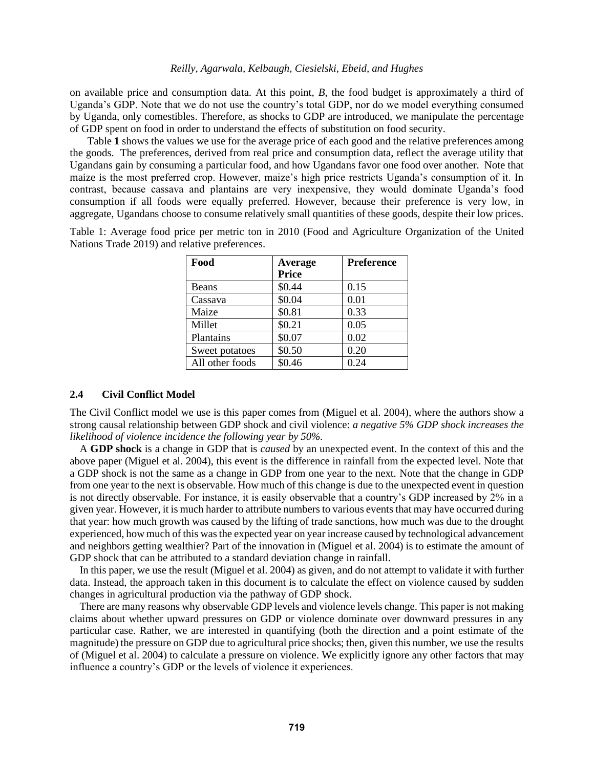on available price and consumption data. At this point, *B*, the food budget is approximately a third of Uganda's GDP. Note that we do not use the country's total GDP, nor do we model everything consumed by Uganda, only comestibles. Therefore, as shocks to GDP are introduced, we manipulate the percentage of GDP spent on food in order to understand the effects of substitution on food security.

[Table](#page-4-0) **1** shows the values we use for the average price of each good and the relative preferences among the goods. The preferences, derived from real price and consumption data, reflect the average utility that Ugandans gain by consuming a particular food, and how Ugandans favor one food over another. Note that maize is the most preferred crop. However, maize's high price restricts Uganda's consumption of it. In contrast, because cassava and plantains are very inexpensive, they would dominate Uganda's food consumption if all foods were equally preferred. However, because their preference is very low, in aggregate, Ugandans choose to consume relatively small quantities of these goods, despite their low prices.

<span id="page-4-0"></span>Table 1: Average food price per metric ton in 2010 (Food and Agriculture Organization of the United Nations Trade 2019) and relative preferences.

| Food            | Average      | <b>Preference</b> |
|-----------------|--------------|-------------------|
|                 | <b>Price</b> |                   |
| Beans           | \$0.44       | 0.15              |
| Cassava         | \$0.04       | 0.01              |
| Maize           | \$0.81       | 0.33              |
| Millet          | \$0.21       | 0.05              |
| Plantains       | \$0.07       | 0.02              |
| Sweet potatoes  | \$0.50       | 0.20              |
| All other foods | \$0.46       | 0.24              |

## **2.4 Civil Conflict Model**

The Civil Conflict model we use is this paper comes from (Miguel et al. 2004), where the authors show a strong causal relationship between GDP shock and civil violence: *a negative 5% GDP shock increases the likelihood of violence incidence the following year by 50%.*

A **GDP shock** is a change in GDP that is *caused* by an unexpected event. In the context of this and the above paper (Miguel et al. 2004), this event is the difference in rainfall from the expected level. Note that a GDP shock is not the same as a change in GDP from one year to the next. Note that the change in GDP from one year to the next is observable. How much of this change is due to the unexpected event in question is not directly observable. For instance, it is easily observable that a country's GDP increased by 2% in a given year. However, it is much harder to attribute numbers to various events that may have occurred during that year: how much growth was caused by the lifting of trade sanctions, how much was due to the drought experienced, how much of this was the expected year on year increase caused by technological advancement and neighbors getting wealthier? Part of the innovation in (Miguel et al. 2004) is to estimate the amount of GDP shock that can be attributed to a standard deviation change in rainfall.

In this paper, we use the result (Miguel et al. 2004) as given, and do not attempt to validate it with further data. Instead, the approach taken in this document is to calculate the effect on violence caused by sudden changes in agricultural production via the pathway of GDP shock.

There are many reasons why observable GDP levels and violence levels change. This paper is not making claims about whether upward pressures on GDP or violence dominate over downward pressures in any particular case. Rather, we are interested in quantifying (both the direction and a point estimate of the magnitude) the pressure on GDP due to agricultural price shocks; then, given this number, we use the results of (Miguel et al. 2004) to calculate a pressure on violence. We explicitly ignore any other factors that may influence a country's GDP or the levels of violence it experiences.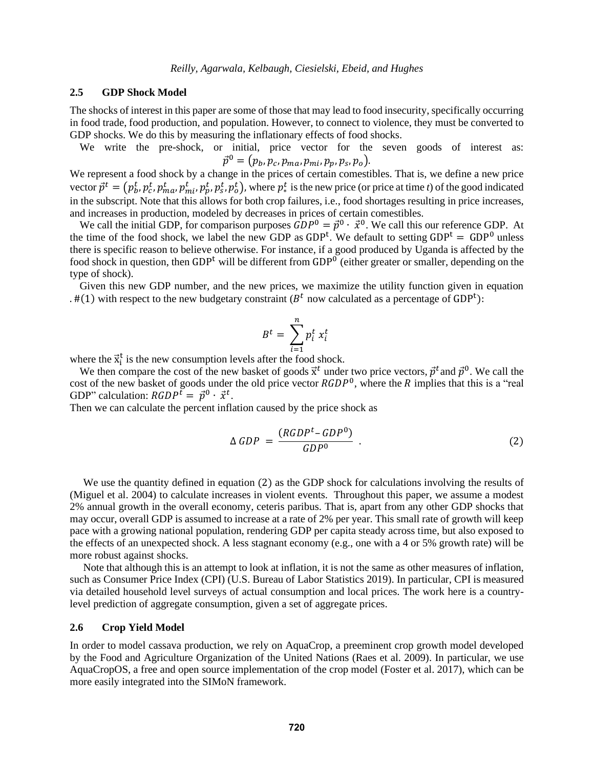## **2.5 GDP Shock Model**

The shocks of interest in this paper are some of those that may lead to food insecurity, specifically occurring in food trade, food production, and population. However, to connect to violence, they must be converted to GDP shocks. We do this by measuring the inflationary effects of food shocks.

We write the pre-shock, or initial, price vector for the seven goods of interest as:  $\vec{p}^0 = \big( p_b, p_c, p_{ma}, p_{mi}, p_p, p_s, p_o \big).$ 

We represent a food shock by a change in the prices of certain comestibles. That is, we define a new price vector  $\vec{p}^t = (p_b^t, p_c^t, p_{ma}^t, p_m^t, p_p^t, p_s^t, p_o^t)$ , where  $p_*^t$  is the new price (or price at time *t*) of the good indicated in the subscript. Note that this allows for both crop failures, i.e., food shortages resulting in price increases, and increases in production, modeled by decreases in prices of certain comestibles.

We call the initial GDP, for comparison purposes  $\widehat{G}DP^0 = \vec{p}^0 \cdot \vec{x}^0$ . We call this our reference GDP. At the time of the food shock, we label the new GDP as GDP<sup>t</sup>. We default to setting  $GDP<sup>t</sup> = GDP<sup>0</sup>$  unless there is specific reason to believe otherwise. For instance, if a good produced by Uganda is affected by the food shock in question, then GDP<sup>t</sup> will be different from GDP<sup>0</sup> (either greater or smaller, depending on the type of shock).

Given this new GDP number, and the new prices, we maximize the utility function given in equation . [#\(1\)](#page-3-0) with respect to the new budgetary constraint ( $B<sup>t</sup>$  now calculated as a percentage of GDP<sup>t</sup>):

<span id="page-5-0"></span>
$$
B^t = \sum_{i=1}^n p_i^t x_i^t
$$

where the  $\vec{x}_i^t$  is the new consumption levels after the food shock.

We then compare the cost of the new basket of goods  $\vec{x}^t$  under two price vectors,  $\vec{p}^t$  and  $\vec{p}^0$ . We call the cost of the new basket of goods under the old price vector  $RGDP^0$ , where the R implies that this is a "real GDP" calculation:  $RGDP^{\tilde{t}} = \vec{p}^0 \cdot \vec{x}^t$ .

Then we can calculate the percent inflation caused by the price shock as

$$
\Delta GDP = \frac{(RGDP^t - GDP^0)}{GDP^0} \tag{2}
$$

We use the quantity defined in equation [\(2\)](#page-5-0) as the GDP shock for calculations involving the results of (Miguel et al. 2004) to calculate increases in violent events. Throughout this paper, we assume a modest 2% annual growth in the overall economy, ceteris paribus. That is, apart from any other GDP shocks that may occur, overall GDP is assumed to increase at a rate of 2% per year. This small rate of growth will keep pace with a growing national population, rendering GDP per capita steady across time, but also exposed to the effects of an unexpected shock. A less stagnant economy (e.g., one with a 4 or 5% growth rate) will be more robust against shocks.

 Note that although this is an attempt to look at inflation, it is not the same as other measures of inflation, such as Consumer Price Index (CPI) (U.S. Bureau of Labor Statistics 2019). In particular, CPI is measured via detailed household level surveys of actual consumption and local prices. The work here is a countrylevel prediction of aggregate consumption, given a set of aggregate prices.

#### **2.6 Crop Yield Model**

In order to model cassava production, we rely on AquaCrop, a preeminent crop growth model developed by the Food and Agriculture Organization of the United Nations (Raes et al. 2009). In particular, we use AquaCropOS, a free and open source implementation of the crop model (Foster et al. 2017), which can be more easily integrated into the SIMoN framework.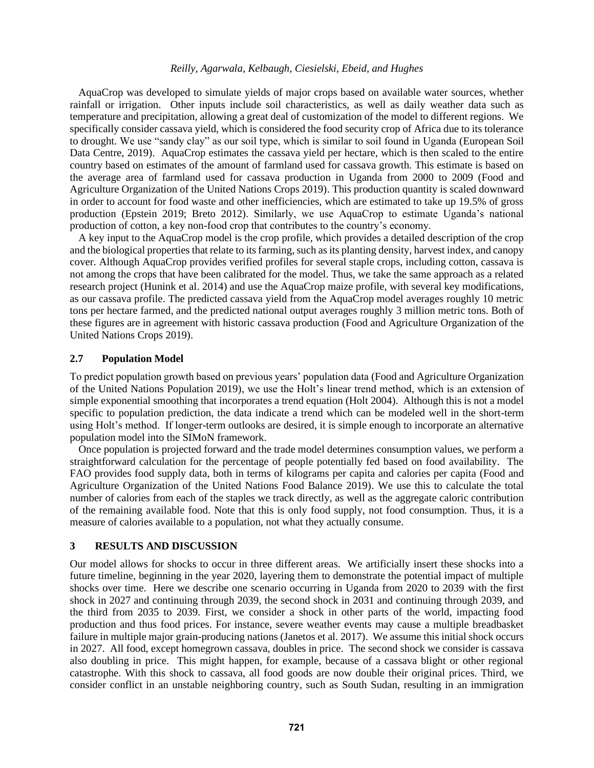AquaCrop was developed to simulate yields of major crops based on available water sources, whether rainfall or irrigation. Other inputs include soil characteristics, as well as daily weather data such as temperature and precipitation, allowing a great deal of customization of the model to different regions. We specifically consider cassava yield, which is considered the food security crop of Africa due to its tolerance to drought. We use "sandy clay" as our soil type, which is similar to soil found in Uganda (European Soil Data Centre, 2019). AquaCrop estimates the cassava yield per hectare, which is then scaled to the entire country based on estimates of the amount of farmland used for cassava growth. This estimate is based on the average area of farmland used for cassava production in Uganda from 2000 to 2009 (Food and Agriculture Organization of the United Nations Crops 2019). This production quantity is scaled downward in order to account for food waste and other inefficiencies, which are estimated to take up 19.5% of gross production (Epstein 2019; Breto 2012). Similarly, we use AquaCrop to estimate Uganda's national production of cotton, a key non-food crop that contributes to the country's economy.

A key input to the AquaCrop model is the crop profile, which provides a detailed description of the crop and the biological properties that relate to its farming, such as its planting density, harvest index, and canopy cover. Although AquaCrop provides verified profiles for several staple crops, including cotton, cassava is not among the crops that have been calibrated for the model. Thus, we take the same approach as a related research project (Hunink et al. 2014) and use the AquaCrop maize profile, with several key modifications, as our cassava profile. The predicted cassava yield from the AquaCrop model averages roughly 10 metric tons per hectare farmed, and the predicted national output averages roughly 3 million metric tons. Both of these figures are in agreement with historic cassava production (Food and Agriculture Organization of the United Nations Crops 2019).

### **2.7 Population Model**

To predict population growth based on previous years' population data (Food and Agriculture Organization of the United Nations Population 2019), we use the Holt's linear trend method, which is an extension of simple exponential smoothing that incorporates a trend equation (Holt 2004). Although this is not a model specific to population prediction, the data indicate a trend which can be modeled well in the short-term using Holt's method. If longer-term outlooks are desired, it is simple enough to incorporate an alternative population model into the SIMoN framework.

Once population is projected forward and the trade model determines consumption values, we perform a straightforward calculation for the percentage of people potentially fed based on food availability. The FAO provides food supply data, both in terms of kilograms per capita and calories per capita (Food and Agriculture Organization of the United Nations Food Balance 2019). We use this to calculate the total number of calories from each of the staples we track directly, as well as the aggregate caloric contribution of the remaining available food. Note that this is only food supply, not food consumption. Thus, it is a measure of calories available to a population, not what they actually consume.

## **3 RESULTS AND DISCUSSION**

Our model allows for shocks to occur in three different areas. We artificially insert these shocks into a future timeline, beginning in the year 2020, layering them to demonstrate the potential impact of multiple shocks over time. Here we describe one scenario occurring in Uganda from 2020 to 2039 with the first shock in 2027 and continuing through 2039, the second shock in 2031 and continuing through 2039, and the third from 2035 to 2039. First, we consider a shock in other parts of the world, impacting food production and thus food prices. For instance, severe weather events may cause a multiple breadbasket failure in multiple major grain-producing nations (Janetos et al. 2017). We assume this initial shock occurs in 2027. All food, except homegrown cassava, doubles in price. The second shock we consider is cassava also doubling in price. This might happen, for example, because of a cassava blight or other regional catastrophe. With this shock to cassava, all food goods are now double their original prices. Third, we consider conflict in an unstable neighboring country, such as South Sudan, resulting in an immigration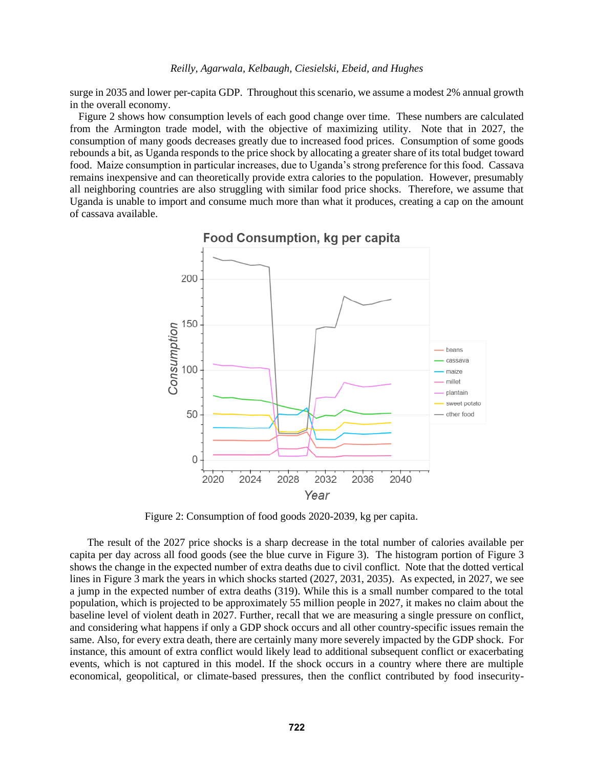surge in 2035 and lower per-capita GDP. Throughout this scenario, we assume a modest 2% annual growth in the overall economy.

[Figure 2](#page-7-0) shows how consumption levels of each good change over time. These numbers are calculated from the Armington trade model, with the objective of maximizing utility. Note that in 2027, the consumption of many goods decreases greatly due to increased food prices. Consumption of some goods rebounds a bit, as Uganda responds to the price shock by allocating a greater share of its total budget toward food. Maize consumption in particular increases, due to Uganda's strong preference for this food. Cassava remains inexpensive and can theoretically provide extra calories to the population. However, presumably all neighboring countries are also struggling with similar food price shocks. Therefore, we assume that Uganda is unable to import and consume much more than what it produces, creating a cap on the amount of cassava available.



<span id="page-7-0"></span>Figure 2: Consumption of food goods 2020-2039, kg per capita.

The result of the 2027 price shocks is a sharp decrease in the total number of calories available per capita per day across all food goods (see the blue curve in [Figure 3\)](#page-8-0). The histogram portion of [Figure 3](#page-8-0) shows the change in the expected number of extra deaths due to civil conflict. Note that the dotted vertical lines in [Figure 3](#page-8-0) mark the years in which shocks started (2027, 2031, 2035). As expected, in 2027, we see a jump in the expected number of extra deaths (319). While this is a small number compared to the total population, which is projected to be approximately 55 million people in 2027, it makes no claim about the baseline level of violent death in 2027. Further, recall that we are measuring a single pressure on conflict, and considering what happens if only a GDP shock occurs and all other country-specific issues remain the same. Also, for every extra death, there are certainly many more severely impacted by the GDP shock. For instance, this amount of extra conflict would likely lead to additional subsequent conflict or exacerbating events, which is not captured in this model. If the shock occurs in a country where there are multiple economical, geopolitical, or climate-based pressures, then the conflict contributed by food insecurity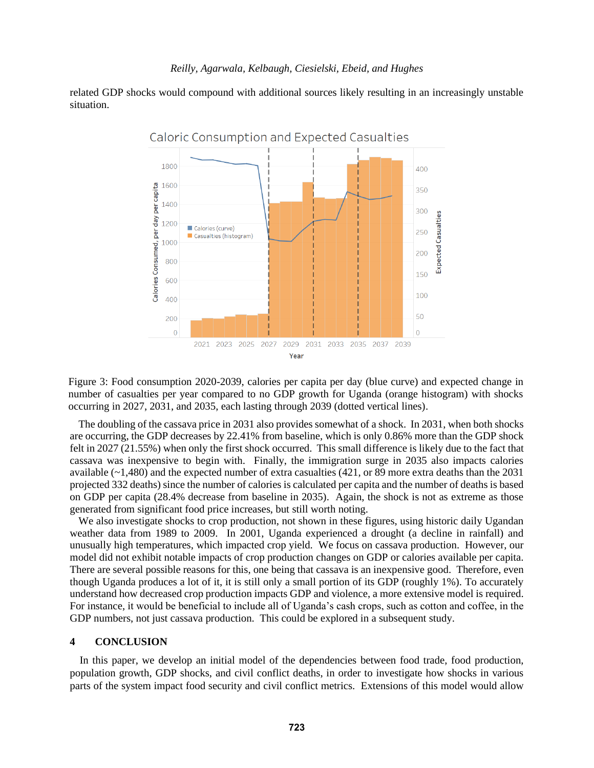related GDP shocks would compound with additional sources likely resulting in an increasingly unstable situation.



<span id="page-8-0"></span>Figure 3: Food consumption 2020-2039, calories per capita per day (blue curve) and expected change in number of casualties per year compared to no GDP growth for Uganda (orange histogram) with shocks occurring in 2027, 2031, and 2035, each lasting through 2039 (dotted vertical lines).

The doubling of the cassava price in 2031 also provides somewhat of a shock. In 2031, when both shocks are occurring, the GDP decreases by 22.41% from baseline, which is only 0.86% more than the GDP shock felt in 2027 (21.55%) when only the first shock occurred. This small difference is likely due to the fact that cassava was inexpensive to begin with. Finally, the immigration surge in 2035 also impacts calories available  $(-1,480)$  and the expected number of extra casualties (421, or 89 more extra deaths than the 2031 projected 332 deaths) since the number of calories is calculated per capita and the number of deaths is based on GDP per capita (28.4% decrease from baseline in 2035). Again, the shock is not as extreme as those generated from significant food price increases, but still worth noting.

We also investigate shocks to crop production, not shown in these figures, using historic daily Ugandan weather data from 1989 to 2009. In 2001, Uganda experienced a drought (a decline in rainfall) and unusually high temperatures, which impacted crop yield. We focus on cassava production. However, our model did not exhibit notable impacts of crop production changes on GDP or calories available per capita. There are several possible reasons for this, one being that cassava is an inexpensive good. Therefore, even though Uganda produces a lot of it, it is still only a small portion of its GDP (roughly 1%). To accurately understand how decreased crop production impacts GDP and violence, a more extensive model is required. For instance, it would be beneficial to include all of Uganda's cash crops, such as cotton and coffee, in the GDP numbers, not just cassava production. This could be explored in a subsequent study.

### **4 CONCLUSION**

In this paper, we develop an initial model of the dependencies between food trade, food production, population growth, GDP shocks, and civil conflict deaths, in order to investigate how shocks in various parts of the system impact food security and civil conflict metrics. Extensions of this model would allow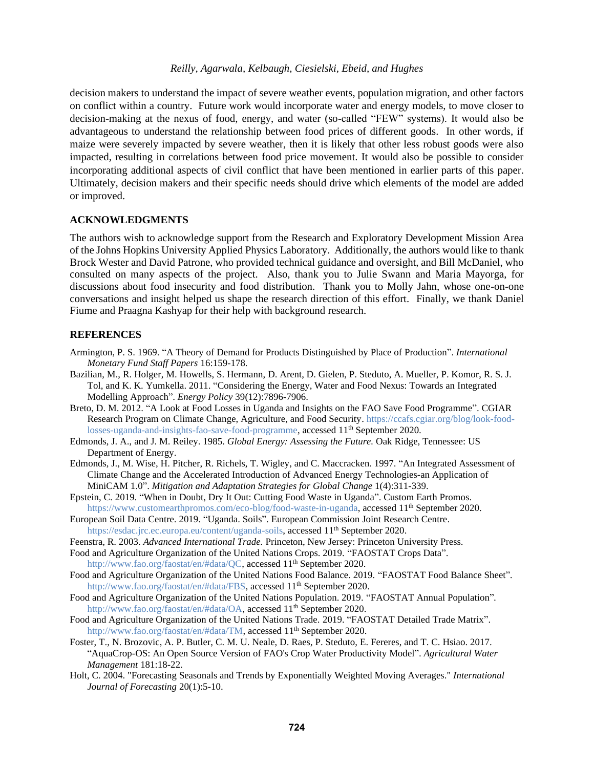decision makers to understand the impact of severe weather events, population migration, and other factors on conflict within a country. Future work would incorporate water and energy models, to move closer to decision-making at the nexus of food, energy, and water (so-called "FEW" systems). It would also be advantageous to understand the relationship between food prices of different goods. In other words, if maize were severely impacted by severe weather, then it is likely that other less robust goods were also impacted, resulting in correlations between food price movement. It would also be possible to consider incorporating additional aspects of civil conflict that have been mentioned in earlier parts of this paper. Ultimately, decision makers and their specific needs should drive which elements of the model are added or improved.

## **ACKNOWLEDGMENTS**

The authors wish to acknowledge support from the Research and Exploratory Development Mission Area of the Johns Hopkins University Applied Physics Laboratory. Additionally, the authors would like to thank Brock Wester and David Patrone, who provided technical guidance and oversight, and Bill McDaniel, who consulted on many aspects of the project. Also, thank you to Julie Swann and Maria Mayorga, for discussions about food insecurity and food distribution. Thank you to Molly Jahn, whose one-on-one conversations and insight helped us shape the research direction of this effort. Finally, we thank Daniel Fiume and Praagna Kashyap for their help with background research.

# **REFERENCES**

- Armington, P. S. 1969. "A Theory of Demand for Products Distinguished by Place of Production". *International Monetary Fund Staff Papers* 16:159-178.
- Bazilian, M., R. Holger, M. Howells, S. Hermann, D. Arent, D. Gielen, P. Steduto, A. Mueller, P. Komor, R. S. J. Tol, and K. K. Yumkella. 2011. "Considering the Energy, Water and Food Nexus: Towards an Integrated Modelling Approach". *Energy Policy* 39(12):7896-7906.
- Breto, D. M. 2012. "A Look at Food Losses in Uganda and Insights on the FAO Save Food Programme". CGIAR Research Program on Climate Change, Agriculture, and Food Security. [https://ccafs.cgiar.org/blog/look-food](https://ccafs.cgiar.org/blog/look-food-losses-uganda-and-insights-fao-save-food-programme)[losses-uganda-and-insights-fao-save-food-programme,](https://ccafs.cgiar.org/blog/look-food-losses-uganda-and-insights-fao-save-food-programme) accessed 11<sup>th</sup> September 2020.
- Edmonds, J. A., and J. M. Reiley. 1985. *Global Energy: Assessing the Future.* Oak Ridge, Tennessee: US Department of Energy.
- Edmonds, J., M. Wise, H. Pitcher, R. Richels, T. Wigley, and C. Maccracken. 1997. "An Integrated Assessment of Climate Change and the Accelerated Introduction of Advanced Energy Technologies-an Application of MiniCAM 1.0". *Mitigation and Adaptation Strategies for Global Change* 1(4):311-339.
- Epstein, C. 2019. "When in Doubt, Dry It Out: Cutting Food Waste in Uganda". Custom Earth Promos. https://www.customearthpromos.com/eco-blog/food-waste-in-uganda, accessed 11<sup>th</sup> September 2020.
- European Soil Data Centre. 2019. "Uganda. Soils". European Commission Joint Research Centre. https://esdac.jrc.ec.europa.eu/content/uganda-soils, accessed 11<sup>th</sup> September 2020.
- Feenstra, R. 2003. *Advanced International Trade.* Princeton, New Jersey: Princeton University Press.
- Food and Agriculture Organization of the United Nations Crops. 2019. "FAOSTAT Crops Data".

http://www.fao.org/faostat/en/#data/QC, accessed 11<sup>th</sup> September 2020.

- Food and Agriculture Organization of the United Nations Food Balance. 2019. "FAOSTAT Food Balance Sheet"*.* http://www.fao.org/faostat/en/#data/FBS, accessed 11<sup>th</sup> September 2020.
- Food and Agriculture Organization of the United Nations Population. 2019. "FAOSTAT Annual Population"*.* http://www.fao.org/faostat/en/#data/OA, accessed 11<sup>th</sup> September 2020.
- Food and Agriculture Organization of the United Nations Trade. 2019. "FAOSTAT Detailed Trade Matrix". http://www.fao.org/faostat/en/#data/TM, accessed 11<sup>th</sup> September 2020.
- Foster, T., N. Brozovic, A. P. Butler, C. M. U. Neale, D. Raes, P. Steduto, E. Fereres, and T. C. Hsiao. 2017. "AquaCrop-OS: An Open Source Version of FAO's Crop Water Productivity Model". *Agricultural Water Management* 181:18-22.
- Holt, C. 2004. "Forecasting Seasonals and Trends by Exponentially Weighted Moving Averages." *International Journal of Forecasting* 20(1):5-10.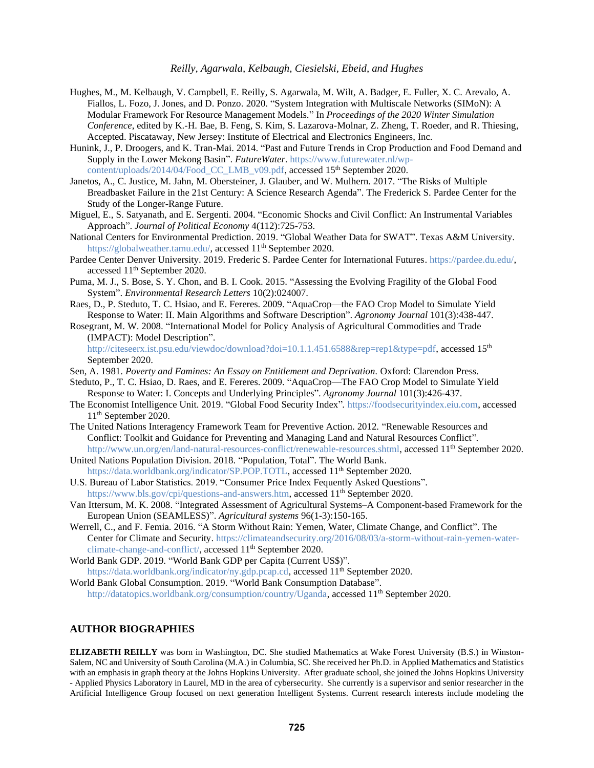- Hughes, M., M. Kelbaugh, V. Campbell, E. Reilly, S. Agarwala, M. Wilt, A. Badger, E. Fuller, X. C. Arevalo, A. Fiallos, L. Fozo, J. Jones, and D. Ponzo. 2020. "System Integration with Multiscale Networks (SIMoN): A Modular Framework For Resource Management Models." In *Proceedings of the 2020 Winter Simulation Conference*, edited by K.-H. Bae, B. Feng, S. Kim, S. Lazarova-Molnar, Z. Zheng, T. Roeder, and R. Thiesing, Accepted. Piscataway, New Jersey: Institute of Electrical and Electronics Engineers, Inc.
- Hunink, J., P. Droogers, and K. Tran-Mai. 2014. "Past and Future Trends in Crop Production and Food Demand and Supply in the Lower Mekong Basin". *FutureWater*. [https://www.futurewater.nl/wp](https://www.futurewater.nl/wp-content/uploads/2014/04/Food_CC_LMB_v09.pdf)[content/uploads/2014/04/Food\\_CC\\_LMB\\_v09.pdf,](https://www.futurewater.nl/wp-content/uploads/2014/04/Food_CC_LMB_v09.pdf) accessed 15<sup>th</sup> September 2020.
- Janetos, A., C. Justice, M. Jahn, M. Obersteiner, J. Glauber, and W. Mulhern. 2017. "The Risks of Multiple Breadbasket Failure in the 21st Century: A Science Research Agenda". The Frederick S. Pardee Center for the Study of the Longer-Range Future.
- Miguel, E., S. Satyanath, and E. Sergenti. 2004. "Economic Shocks and Civil Conflict: An Instrumental Variables Approach". *Journal of Political Economy* 4(112):725-753.
- National Centers for Environmental Prediction. 2019. "Global Weather Data for SWAT". Texas A&M University. https://globalweather.tamu.edu/, accessed 11<sup>th</sup> September 2020.
- Pardee Center Denver University. 2019. Frederic S. Pardee Center for International Futures. https://pardee.du.edu/, accessed 11th September 2020.
- Puma, M. J., S. Bose, S. Y. Chon, and B. I. Cook. 2015. "Assessing the Evolving Fragility of the Global Food System". *Environmental Research Letters* 10(2):024007.
- Raes, D., P. Steduto, T. C. Hsiao, and E. Fereres. 2009. "AquaCrop—the FAO Crop Model to Simulate Yield Response to Water: II. Main Algorithms and Software Description". *Agronomy Journal* 101(3):438-447.
- Rosegrant, M. W. 2008. "International Model for Policy Analysis of Agricultural Commodities and Trade (IMPACT): Model Description".

[http://citeseerx.ist.psu.edu/viewdoc/download?doi=10.1.1.451.6588&rep=rep1&type=pdf,](http://citeseerx.ist.psu.edu/viewdoc/download?doi=10.1.1.451.6588&rep=rep1&type=pdf) accessed 15<sup>th</sup> September 2020.

Sen, A. 1981. *Poverty and Famines: An Essay on Entitlement and Deprivation.* Oxford: Clarendon Press.

Steduto, P., T. C. Hsiao, D. Raes, and E. Fereres. 2009. "AquaCrop—The FAO Crop Model to Simulate Yield Response to Water: I. Concepts and Underlying Principles". *Agronomy Journal* 101(3):426-437.

- The Economist Intelligence Unit. 2019. "Global Food Security Index"*.* https://foodsecurityindex.eiu.com, accessed 11th September 2020.
- The United Nations Interagency Framework Team for Preventive Action. 2012. "Renewable Resources and Conflict: Toolkit and Guidance for Preventing and Managing Land and Natural Resources Conflict"*.* http://www.un.org/en/land-natural-resources-conflict/renewable-resources.shtml, accessed 11<sup>th</sup> September 2020.
- United Nations Population Division. 2018. "Population, Total". The World Bank. [https://data.worldbank.org/indicator/SP.POP.TOTL,](https://data.worldbank.org/indicator/SP.POP.TOTL) accessed 11<sup>th</sup> September 2020.
- U.S. Bureau of Labor Statistics. 2019. "Consumer Price Index Fequently Asked Questions". https://www.bls.gov/cpi/questions-and-answers.htm, accessed 11<sup>th</sup> September 2020.
- Van Ittersum, M. K. 2008. "Integrated Assessment of Agricultural Systems–A Component-based Framework for the European Union (SEAMLESS)". *Agricultural systems* 96(1-3):150-165.
- Werrell, C., and F. Femia. 2016. "A Storm Without Rain: Yemen, Water, Climate Change, and Conflict". The Center for Climate and Security. https://climateandsecurity.org/2016/08/03/a-storm-without-rain-yemen-waterclimate-change-and-conflict/, accessed 11<sup>th</sup> September 2020.

World Bank GDP. 2019. "World Bank GDP per Capita (Current US\$)". https://data.worldbank.org/indicator/ny.gdp.pcap.cd, accessed 11<sup>th</sup> September 2020.

World Bank Global Consumption. 2019. "World Bank Consumption Database". http://datatopics.worldbank.org/consumption/country/Uganda, accessed 11<sup>th</sup> September 2020.

## **AUTHOR BIOGRAPHIES**

**ELIZABETH REILLY** was born in Washington, DC. She studied Mathematics at Wake Forest University (B.S.) in Winston-Salem, NC and University of South Carolina (M.A.) in Columbia, SC. She received her Ph.D. in Applied Mathematics and Statistics with an emphasis in graph theory at the Johns Hopkins University. After graduate school, she joined the Johns Hopkins University - Applied Physics Laboratory in Laurel, MD in the area of cybersecurity. She currently is a supervisor and senior researcher in the Artificial Intelligence Group focused on next generation Intelligent Systems. Current research interests include modeling the